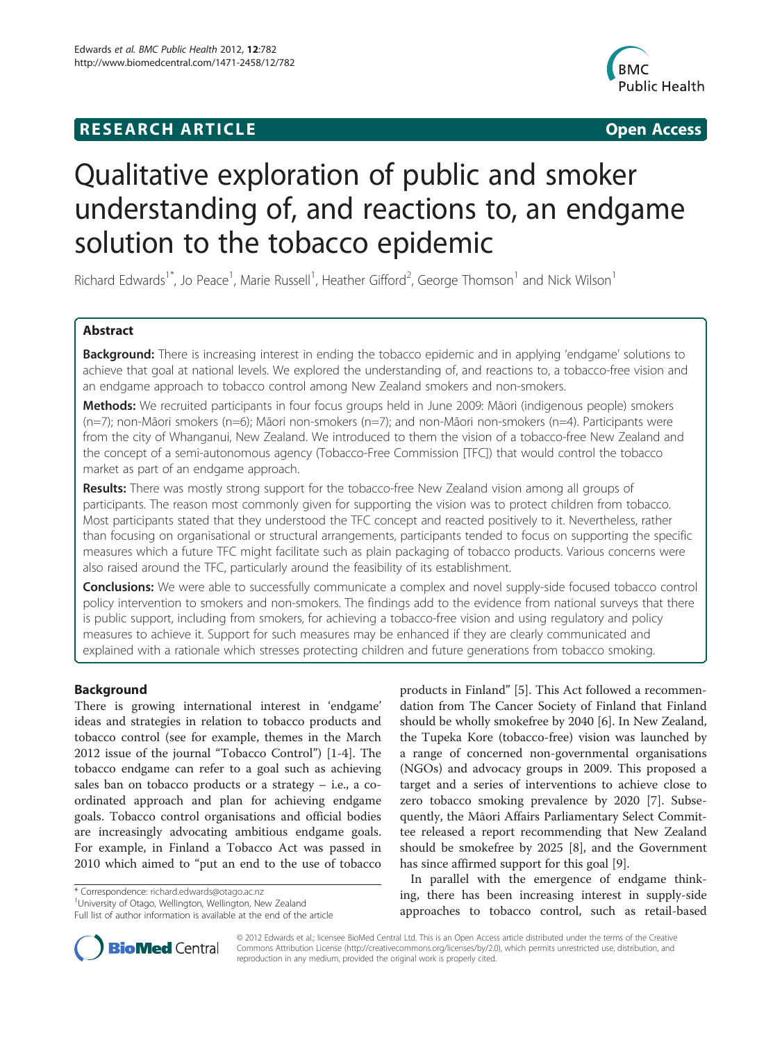## **RESEARCH ARTICLE Example 2018 12:00 Department of the CONNECTION CONNECTION CONNECTION CONNECTION**



# Qualitative exploration of public and smoker understanding of, and reactions to, an endgame solution to the tobacco epidemic

Richard Edwards<sup>1\*</sup>, Jo Peace<sup>1</sup>, Marie Russell<sup>1</sup>, Heather Gifford<sup>2</sup>, George Thomson<sup>1</sup> and Nick Wilson<sup>1</sup>

## Abstract

Background: There is increasing interest in ending the tobacco epidemic and in applying 'endgame' solutions to achieve that goal at national levels. We explored the understanding of, and reactions to, a tobacco-free vision and an endgame approach to tobacco control among New Zealand smokers and non-smokers.

Methods: We recruited participants in four focus groups held in June 2009: Māori (indigenous people) smokers (n=7); non-Māori smokers (n=6); Māori non-smokers (n=7); and non-Māori non-smokers (n=4). Participants were from the city of Whanganui, New Zealand. We introduced to them the vision of a tobacco-free New Zealand and the concept of a semi-autonomous agency (Tobacco-Free Commission [TFC]) that would control the tobacco market as part of an endgame approach.

Results: There was mostly strong support for the tobacco-free New Zealand vision among all groups of participants. The reason most commonly given for supporting the vision was to protect children from tobacco. Most participants stated that they understood the TFC concept and reacted positively to it. Nevertheless, rather than focusing on organisational or structural arrangements, participants tended to focus on supporting the specific measures which a future TFC might facilitate such as plain packaging of tobacco products. Various concerns were also raised around the TFC, particularly around the feasibility of its establishment.

**Conclusions:** We were able to successfully communicate a complex and novel supply-side focused tobacco control policy intervention to smokers and non-smokers. The findings add to the evidence from national surveys that there is public support, including from smokers, for achieving a tobacco-free vision and using regulatory and policy measures to achieve it. Support for such measures may be enhanced if they are clearly communicated and explained with a rationale which stresses protecting children and future generations from tobacco smoking.

## Background

There is growing international interest in 'endgame' ideas and strategies in relation to tobacco products and tobacco control (see for example, themes in the March 2012 issue of the journal "Tobacco Control") [[1-4](#page-7-0)]. The tobacco endgame can refer to a goal such as achieving sales ban on tobacco products or a strategy  $-$  i.e., a coordinated approach and plan for achieving endgame goals. Tobacco control organisations and official bodies are increasingly advocating ambitious endgame goals. For example, in Finland a Tobacco Act was passed in 2010 which aimed to "put an end to the use of tobacco

\* Correspondence: [richard.edwards@otago.ac.nz](mailto:richard.edwards@otago.ac.nz) <sup>1</sup>

<sup>1</sup> University of Otago, Wellington, Wellington, New Zealand Full list of author information is available at the end of the article products in Finland" [[5\]](#page-7-0). This Act followed a recommendation from The Cancer Society of Finland that Finland should be wholly smokefree by 2040 [\[6](#page-7-0)]. In New Zealand, the Tupeka Kore (tobacco-free) vision was launched by a range of concerned non-governmental organisations (NGOs) and advocacy groups in 2009. This proposed a target and a series of interventions to achieve close to zero tobacco smoking prevalence by 2020 [[7\]](#page-7-0). Subsequently, the Māori Affairs Parliamentary Select Committee released a report recommending that New Zealand should be smokefree by 2025 [\[8](#page-7-0)], and the Government has since affirmed support for this goal [\[9](#page-7-0)].

In parallel with the emergence of endgame thinking, there has been increasing interest in supply-side approaches to tobacco control, such as retail-based



© 2012 Edwards et al.; licensee BioMed Central Ltd. This is an Open Access article distributed under the terms of the Creative Commons Attribution License [\(http://creativecommons.org/licenses/by/2.0\)](http://creativecommons.org/licenses/by/2.0), which permits unrestricted use, distribution, and reproduction in any medium, provided the original work is properly cited.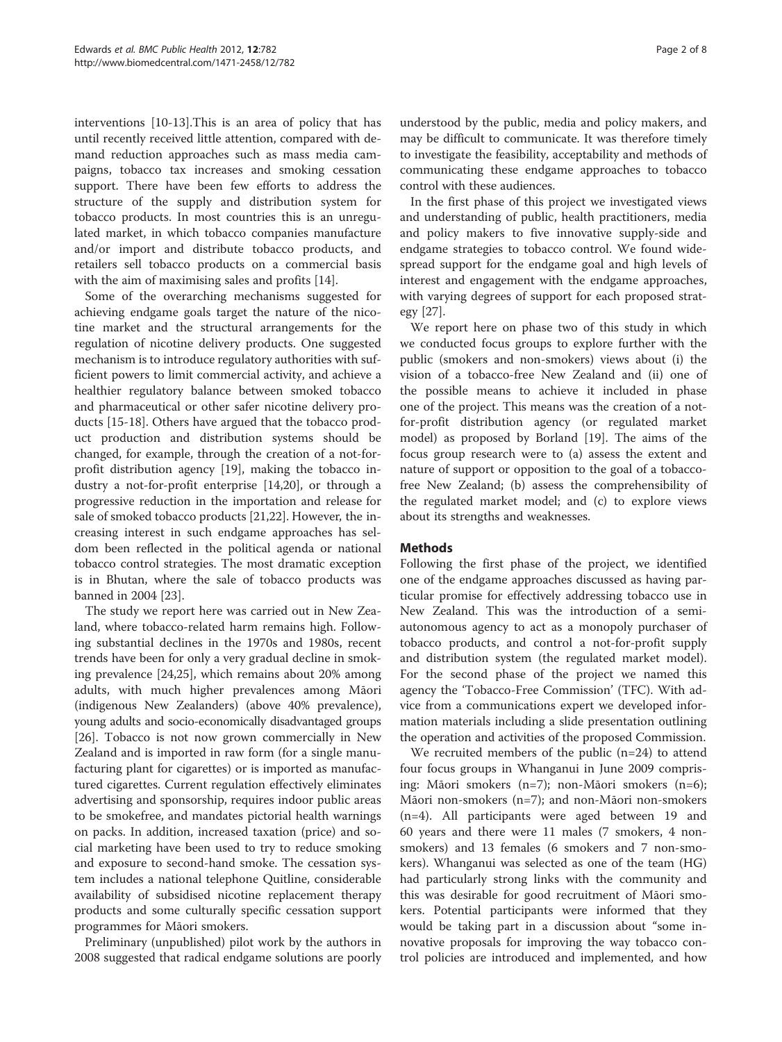interventions [\[10-13](#page-7-0)].This is an area of policy that has until recently received little attention, compared with demand reduction approaches such as mass media campaigns, tobacco tax increases and smoking cessation support. There have been few efforts to address the structure of the supply and distribution system for tobacco products. In most countries this is an unregulated market, in which tobacco companies manufacture and/or import and distribute tobacco products, and retailers sell tobacco products on a commercial basis with the aim of maximising sales and profits [[14](#page-7-0)].

Some of the overarching mechanisms suggested for achieving endgame goals target the nature of the nicotine market and the structural arrangements for the regulation of nicotine delivery products. One suggested mechanism is to introduce regulatory authorities with sufficient powers to limit commercial activity, and achieve a healthier regulatory balance between smoked tobacco and pharmaceutical or other safer nicotine delivery products [[15-18\]](#page-7-0). Others have argued that the tobacco product production and distribution systems should be changed, for example, through the creation of a not-forprofit distribution agency [\[19\]](#page-7-0), making the tobacco industry a not-for-profit enterprise [[14,20\]](#page-7-0), or through a progressive reduction in the importation and release for sale of smoked tobacco products [\[21,22\]](#page-7-0). However, the increasing interest in such endgame approaches has seldom been reflected in the political agenda or national tobacco control strategies. The most dramatic exception is in Bhutan, where the sale of tobacco products was banned in 2004 [\[23](#page-7-0)].

The study we report here was carried out in New Zealand, where tobacco-related harm remains high. Following substantial declines in the 1970s and 1980s, recent trends have been for only a very gradual decline in smoking prevalence [[24](#page-7-0),[25](#page-7-0)], which remains about 20% among adults, with much higher prevalences among Māori (indigenous New Zealanders) (above 40% prevalence), young adults and socio-economically disadvantaged groups [[26\]](#page-7-0). Tobacco is not now grown commercially in New Zealand and is imported in raw form (for a single manufacturing plant for cigarettes) or is imported as manufactured cigarettes. Current regulation effectively eliminates advertising and sponsorship, requires indoor public areas to be smokefree, and mandates pictorial health warnings on packs. In addition, increased taxation (price) and social marketing have been used to try to reduce smoking and exposure to second-hand smoke. The cessation system includes a national telephone Quitline, considerable availability of subsidised nicotine replacement therapy products and some culturally specific cessation support programmes for Māori smokers.

Preliminary (unpublished) pilot work by the authors in 2008 suggested that radical endgame solutions are poorly

understood by the public, media and policy makers, and may be difficult to communicate. It was therefore timely to investigate the feasibility, acceptability and methods of communicating these endgame approaches to tobacco control with these audiences.

In the first phase of this project we investigated views and understanding of public, health practitioners, media and policy makers to five innovative supply-side and endgame strategies to tobacco control. We found widespread support for the endgame goal and high levels of interest and engagement with the endgame approaches, with varying degrees of support for each proposed strategy [\[27](#page-7-0)].

We report here on phase two of this study in which we conducted focus groups to explore further with the public (smokers and non-smokers) views about (i) the vision of a tobacco-free New Zealand and (ii) one of the possible means to achieve it included in phase one of the project. This means was the creation of a notfor-profit distribution agency (or regulated market model) as proposed by Borland [\[19](#page-7-0)]. The aims of the focus group research were to (a) assess the extent and nature of support or opposition to the goal of a tobaccofree New Zealand; (b) assess the comprehensibility of the regulated market model; and (c) to explore views about its strengths and weaknesses.

## Methods

Following the first phase of the project, we identified one of the endgame approaches discussed as having particular promise for effectively addressing tobacco use in New Zealand. This was the introduction of a semiautonomous agency to act as a monopoly purchaser of tobacco products, and control a not-for-profit supply and distribution system (the regulated market model). For the second phase of the project we named this agency the 'Tobacco-Free Commission' (TFC). With advice from a communications expert we developed information materials including a slide presentation outlining the operation and activities of the proposed Commission.

We recruited members of the public (n=24) to attend four focus groups in Whanganui in June 2009 comprising: Māori smokers (n=7); non-Māori smokers (n=6); Māori non-smokers (n=7); and non-Māori non-smokers (n=4). All participants were aged between 19 and 60 years and there were 11 males (7 smokers, 4 nonsmokers) and 13 females (6 smokers and 7 non-smokers). Whanganui was selected as one of the team (HG) had particularly strong links with the community and this was desirable for good recruitment of Māori smokers. Potential participants were informed that they would be taking part in a discussion about "some innovative proposals for improving the way tobacco control policies are introduced and implemented, and how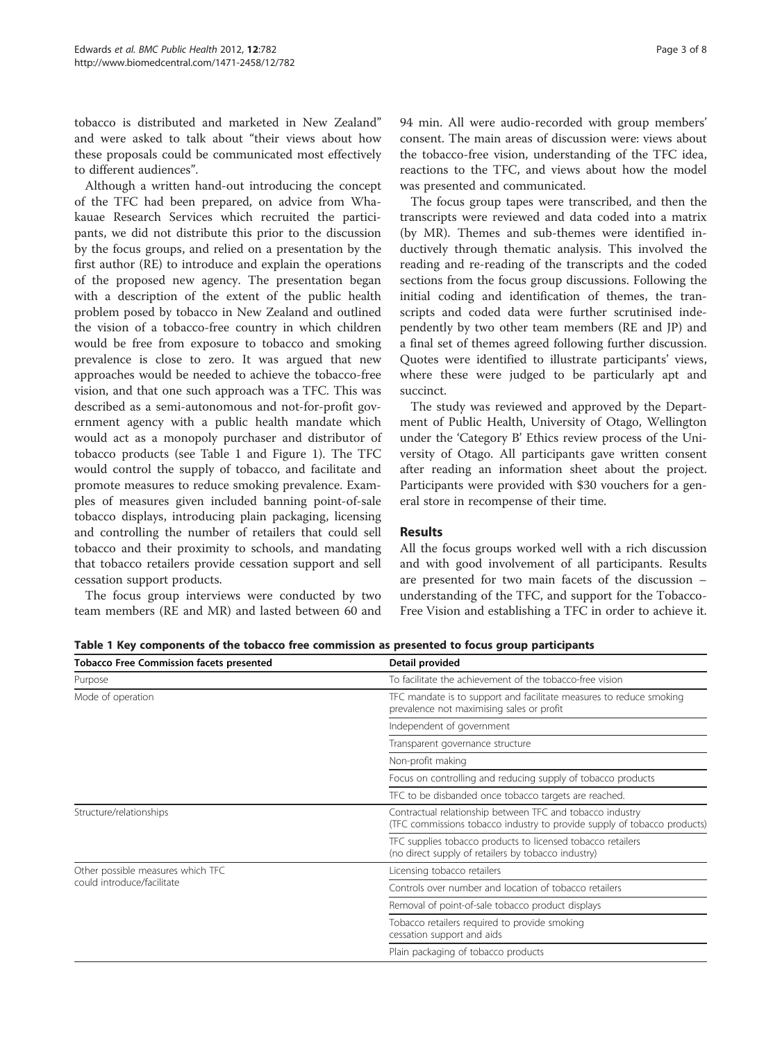tobacco is distributed and marketed in New Zealand" and were asked to talk about "their views about how these proposals could be communicated most effectively to different audiences".

Although a written hand-out introducing the concept of the TFC had been prepared, on advice from Whakauae Research Services which recruited the participants, we did not distribute this prior to the discussion by the focus groups, and relied on a presentation by the first author (RE) to introduce and explain the operations of the proposed new agency. The presentation began with a description of the extent of the public health problem posed by tobacco in New Zealand and outlined the vision of a tobacco-free country in which children would be free from exposure to tobacco and smoking prevalence is close to zero. It was argued that new approaches would be needed to achieve the tobacco-free vision, and that one such approach was a TFC. This was described as a semi-autonomous and not-for-profit government agency with a public health mandate which would act as a monopoly purchaser and distributor of tobacco products (see Table 1 and Figure [1\)](#page-3-0). The TFC would control the supply of tobacco, and facilitate and promote measures to reduce smoking prevalence. Examples of measures given included banning point-of-sale tobacco displays, introducing plain packaging, licensing and controlling the number of retailers that could sell tobacco and their proximity to schools, and mandating that tobacco retailers provide cessation support and sell cessation support products.

The focus group interviews were conducted by two team members (RE and MR) and lasted between 60 and 94 min. All were audio-recorded with group members' consent. The main areas of discussion were: views about the tobacco-free vision, understanding of the TFC idea, reactions to the TFC, and views about how the model was presented and communicated.

The focus group tapes were transcribed, and then the transcripts were reviewed and data coded into a matrix (by MR). Themes and sub-themes were identified inductively through thematic analysis. This involved the reading and re-reading of the transcripts and the coded sections from the focus group discussions. Following the initial coding and identification of themes, the transcripts and coded data were further scrutinised independently by two other team members (RE and JP) and a final set of themes agreed following further discussion. Quotes were identified to illustrate participants' views, where these were judged to be particularly apt and succinct.

The study was reviewed and approved by the Department of Public Health, University of Otago, Wellington under the 'Category B' Ethics review process of the University of Otago. All participants gave written consent after reading an information sheet about the project. Participants were provided with \$30 vouchers for a general store in recompense of their time.

## Results

All the focus groups worked well with a rich discussion and with good involvement of all participants. Results are presented for two main facets of the discussion – understanding of the TFC, and support for the Tobacco-Free Vision and establishing a TFC in order to achieve it.

| <b>Tobacco Free Commission facets presented</b>                 | Detail provided                                                                                                                       |
|-----------------------------------------------------------------|---------------------------------------------------------------------------------------------------------------------------------------|
| Purpose                                                         | To facilitate the achievement of the tobacco-free vision                                                                              |
| Mode of operation                                               | TFC mandate is to support and facilitate measures to reduce smoking<br>prevalence not maximising sales or profit                      |
|                                                                 | Independent of government                                                                                                             |
|                                                                 | Transparent governance structure                                                                                                      |
|                                                                 | Non-profit making                                                                                                                     |
|                                                                 | Focus on controlling and reducing supply of tobacco products                                                                          |
|                                                                 | TFC to be disbanded once tobacco targets are reached.                                                                                 |
| Structure/relationships                                         | Contractual relationship between TFC and tobacco industry<br>(TFC commissions tobacco industry to provide supply of tobacco products) |
|                                                                 | TFC supplies tobacco products to licensed tobacco retailers<br>(no direct supply of retailers by tobacco industry)                    |
| Other possible measures which TFC<br>could introduce/facilitate | Licensing tobacco retailers                                                                                                           |
|                                                                 | Controls over number and location of tobacco retailers                                                                                |
|                                                                 | Removal of point-of-sale tobacco product displays                                                                                     |
|                                                                 | Tobacco retailers required to provide smoking<br>cessation support and aids                                                           |
|                                                                 | Plain packaging of tobacco products                                                                                                   |

Table 1 Key components of the tobacco free commission as presented to focus group participants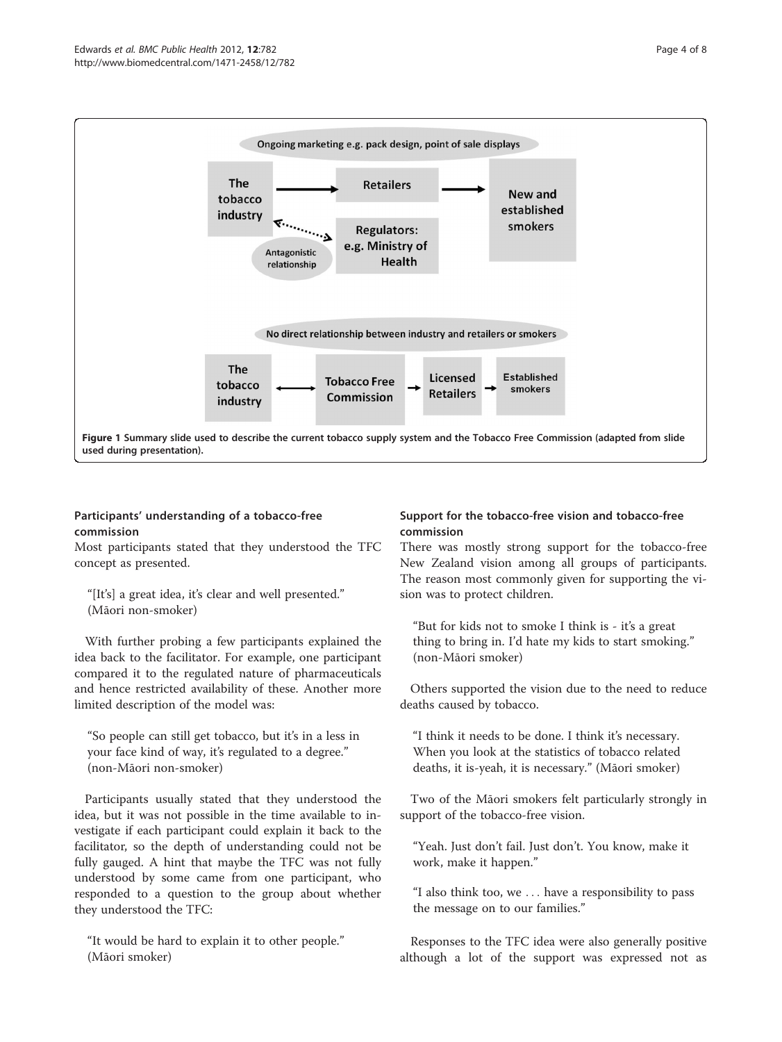<span id="page-3-0"></span>

#### Participants' understanding of a tobacco-free commission

Most participants stated that they understood the TFC concept as presented.

"[It's] a great idea, it's clear and well presented." (Māori non-smoker)

With further probing a few participants explained the idea back to the facilitator. For example, one participant compared it to the regulated nature of pharmaceuticals and hence restricted availability of these. Another more limited description of the model was:

"So people can still get tobacco, but it's in a less in your face kind of way, it's regulated to a degree." (non-Māori non-smoker)

Participants usually stated that they understood the idea, but it was not possible in the time available to investigate if each participant could explain it back to the facilitator, so the depth of understanding could not be fully gauged. A hint that maybe the TFC was not fully understood by some came from one participant, who responded to a question to the group about whether they understood the TFC:

"It would be hard to explain it to other people." (Māori smoker)

## Support for the tobacco-free vision and tobacco-free commission

There was mostly strong support for the tobacco-free New Zealand vision among all groups of participants. The reason most commonly given for supporting the vision was to protect children.

"But for kids not to smoke I think is - it's a great thing to bring in. I'd hate my kids to start smoking." (non-Māori smoker)

Others supported the vision due to the need to reduce deaths caused by tobacco.

"I think it needs to be done. I think it's necessary. When you look at the statistics of tobacco related deaths, it is-yeah, it is necessary." (Māori smoker)

Two of the Māori smokers felt particularly strongly in support of the tobacco-free vision.

"Yeah. Just don't fail. Just don't. You know, make it work, make it happen."

"I also think too, we ... have a responsibility to pass the message on to our families."

Responses to the TFC idea were also generally positive although a lot of the support was expressed not as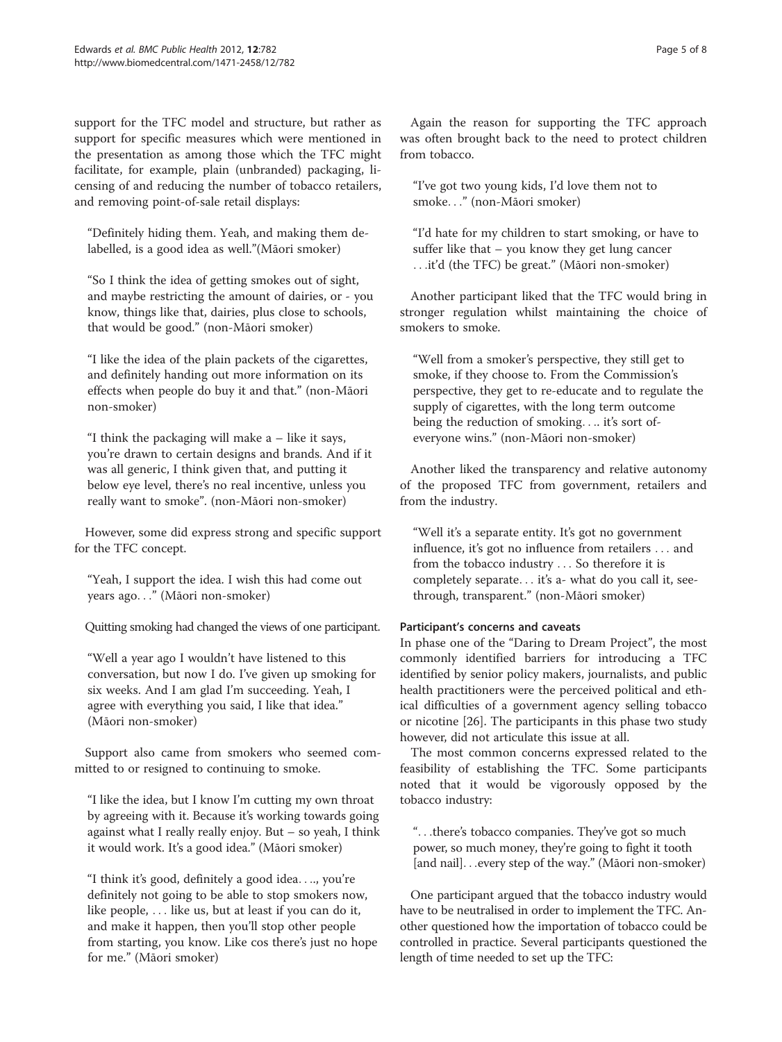support for the TFC model and structure, but rather as support for specific measures which were mentioned in the presentation as among those which the TFC might facilitate, for example, plain (unbranded) packaging, licensing of and reducing the number of tobacco retailers, and removing point-of-sale retail displays:

"Definitely hiding them. Yeah, and making them delabelled, is a good idea as well."(Māori smoker)

"So I think the idea of getting smokes out of sight, and maybe restricting the amount of dairies, or - you know, things like that, dairies, plus close to schools, that would be good." (non-Māori smoker)

"I like the idea of the plain packets of the cigarettes, and definitely handing out more information on its effects when people do buy it and that." (non-Māori non-smoker)

"I think the packaging will make  $a$  – like it says, you're drawn to certain designs and brands. And if it was all generic, I think given that, and putting it below eye level, there's no real incentive, unless you really want to smoke". (non-Māori non-smoker)

However, some did express strong and specific support for the TFC concept.

"Yeah, I support the idea. I wish this had come out years ago..." (Māori non-smoker)

Quitting smoking had changed the views of one participant.

"Well a year ago I wouldn't have listened to this conversation, but now I do. I've given up smoking for six weeks. And I am glad I'm succeeding. Yeah, I agree with everything you said, I like that idea." (Māori non-smoker)

Support also came from smokers who seemed committed to or resigned to continuing to smoke.

"I like the idea, but I know I'm cutting my own throat by agreeing with it. Because it's working towards going against what I really really enjoy. But – so yeah, I think it would work. It's a good idea." (Māori smoker)

"I think it's good, definitely a good idea...., you're definitely not going to be able to stop smokers now, like people, ... like us, but at least if you can do it, and make it happen, then you'll stop other people from starting, you know. Like cos there's just no hope for me." (Māori smoker)

Again the reason for supporting the TFC approach was often brought back to the need to protect children from tobacco.

"I've got two young kids, I'd love them not to smoke..." (non-Māori smoker)

"I'd hate for my children to start smoking, or have to suffer like that – you know they get lung cancer ...it'd (the TFC) be great." (Māori non-smoker)

Another participant liked that the TFC would bring in stronger regulation whilst maintaining the choice of smokers to smoke.

"Well from a smoker's perspective, they still get to smoke, if they choose to. From the Commission's perspective, they get to re-educate and to regulate the supply of cigarettes, with the long term outcome being the reduction of smoking.... it's sort ofeveryone wins." (non-Māori non-smoker)

Another liked the transparency and relative autonomy of the proposed TFC from government, retailers and from the industry.

"Well it's a separate entity. It's got no government influence, it's got no influence from retailers ... and from the tobacco industry ... So therefore it is completely separate... it's a- what do you call it, seethrough, transparent." (non-Māori smoker)

## Participant's concerns and caveats

In phase one of the "Daring to Dream Project", the most commonly identified barriers for introducing a TFC identified by senior policy makers, journalists, and public health practitioners were the perceived political and ethical difficulties of a government agency selling tobacco or nicotine [[26](#page-7-0)]. The participants in this phase two study however, did not articulate this issue at all.

The most common concerns expressed related to the feasibility of establishing the TFC. Some participants noted that it would be vigorously opposed by the tobacco industry:

"...there's tobacco companies. They've got so much power, so much money, they're going to fight it tooth [and nail]...every step of the way." (Māori non-smoker)

One participant argued that the tobacco industry would have to be neutralised in order to implement the TFC. Another questioned how the importation of tobacco could be controlled in practice. Several participants questioned the length of time needed to set up the TFC: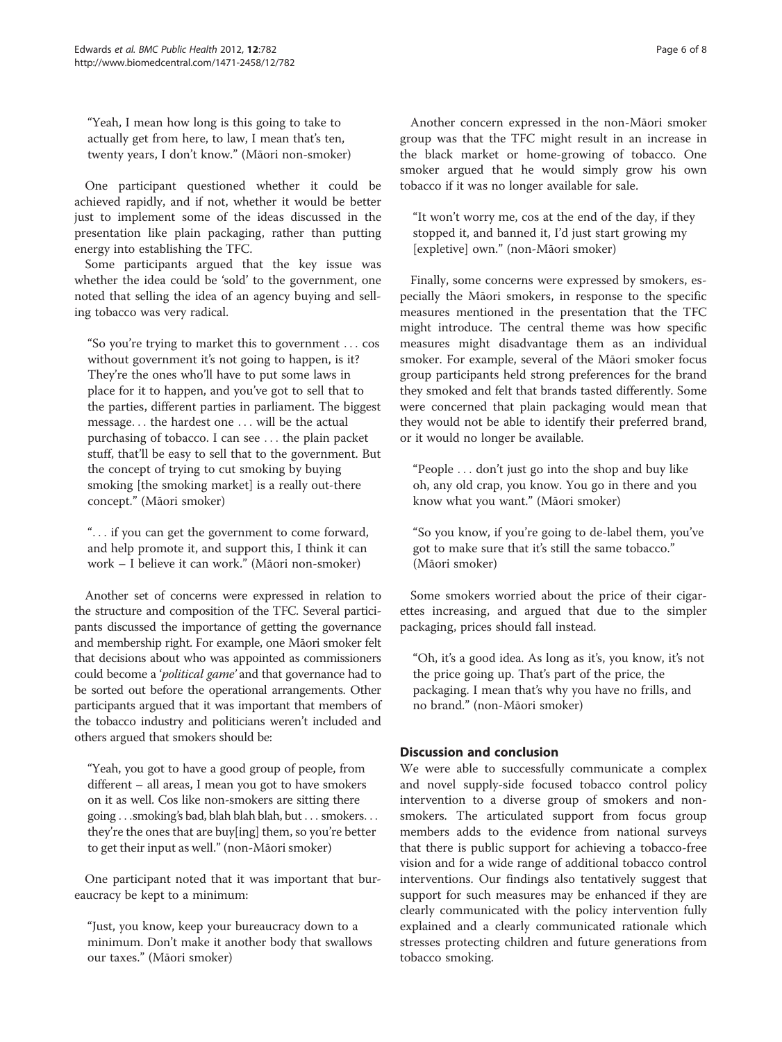"Yeah, I mean how long is this going to take to actually get from here, to law, I mean that's ten, twenty years, I don't know." (Māori non-smoker)

One participant questioned whether it could be achieved rapidly, and if not, whether it would be better just to implement some of the ideas discussed in the presentation like plain packaging, rather than putting energy into establishing the TFC.

Some participants argued that the key issue was whether the idea could be 'sold' to the government, one noted that selling the idea of an agency buying and selling tobacco was very radical.

"So you're trying to market this to government ... cos without government it's not going to happen, is it? They're the ones who'll have to put some laws in place for it to happen, and you've got to sell that to the parties, different parties in parliament. The biggest message... the hardest one ... will be the actual purchasing of tobacco. I can see ... the plain packet stuff, that'll be easy to sell that to the government. But the concept of trying to cut smoking by buying smoking [the smoking market] is a really out-there concept." (Māori smoker)

"... if you can get the government to come forward, and help promote it, and support this, I think it can work – I believe it can work." (Māori non-smoker)

Another set of concerns were expressed in relation to the structure and composition of the TFC. Several participants discussed the importance of getting the governance and membership right. For example, one Māori smoker felt that decisions about who was appointed as commissioners could become a 'political game' and that governance had to be sorted out before the operational arrangements. Other participants argued that it was important that members of the tobacco industry and politicians weren't included and others argued that smokers should be:

"Yeah, you got to have a good group of people, from different – all areas, I mean you got to have smokers on it as well. Cos like non-smokers are sitting there going ...smoking's bad, blah blah blah, but ... smokers... they're the ones that are buy[ing] them, so you're better to get their input as well." (non-Māori smoker)

One participant noted that it was important that bureaucracy be kept to a minimum:

"Just, you know, keep your bureaucracy down to a minimum. Don't make it another body that swallows our taxes." (Māori smoker)

Another concern expressed in the non-Māori smoker group was that the TFC might result in an increase in the black market or home-growing of tobacco. One smoker argued that he would simply grow his own tobacco if it was no longer available for sale.

"It won't worry me, cos at the end of the day, if they stopped it, and banned it, I'd just start growing my [expletive] own." (non-Māori smoker)

Finally, some concerns were expressed by smokers, especially the Māori smokers, in response to the specific measures mentioned in the presentation that the TFC might introduce. The central theme was how specific measures might disadvantage them as an individual smoker. For example, several of the Māori smoker focus group participants held strong preferences for the brand they smoked and felt that brands tasted differently. Some were concerned that plain packaging would mean that they would not be able to identify their preferred brand, or it would no longer be available.

"People ... don't just go into the shop and buy like oh, any old crap, you know. You go in there and you know what you want." (Māori smoker)

"So you know, if you're going to de-label them, you've got to make sure that it's still the same tobacco." (Māori smoker)

Some smokers worried about the price of their cigarettes increasing, and argued that due to the simpler packaging, prices should fall instead.

"Oh, it's a good idea. As long as it's, you know, it's not the price going up. That's part of the price, the packaging. I mean that's why you have no frills, and no brand." (non-Māori smoker)

## Discussion and conclusion

We were able to successfully communicate a complex and novel supply-side focused tobacco control policy intervention to a diverse group of smokers and nonsmokers. The articulated support from focus group members adds to the evidence from national surveys that there is public support for achieving a tobacco-free vision and for a wide range of additional tobacco control interventions. Our findings also tentatively suggest that support for such measures may be enhanced if they are clearly communicated with the policy intervention fully explained and a clearly communicated rationale which stresses protecting children and future generations from tobacco smoking.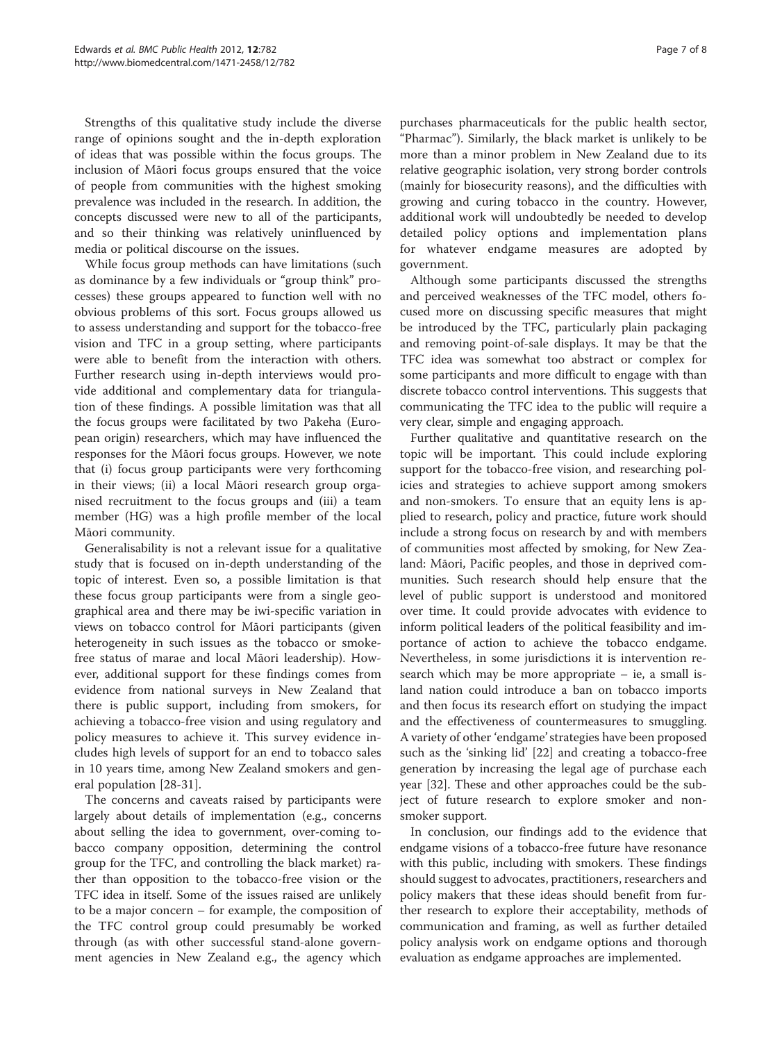Strengths of this qualitative study include the diverse range of opinions sought and the in-depth exploration of ideas that was possible within the focus groups. The inclusion of Māori focus groups ensured that the voice of people from communities with the highest smoking prevalence was included in the research. In addition, the concepts discussed were new to all of the participants, and so their thinking was relatively uninfluenced by media or political discourse on the issues.

While focus group methods can have limitations (such as dominance by a few individuals or "group think" processes) these groups appeared to function well with no obvious problems of this sort. Focus groups allowed us to assess understanding and support for the tobacco-free vision and TFC in a group setting, where participants were able to benefit from the interaction with others. Further research using in-depth interviews would provide additional and complementary data for triangulation of these findings. A possible limitation was that all the focus groups were facilitated by two Pakeha (European origin) researchers, which may have influenced the responses for the Māori focus groups. However, we note that (i) focus group participants were very forthcoming in their views; (ii) a local Māori research group organised recruitment to the focus groups and (iii) a team member (HG) was a high profile member of the local Māori community.

Generalisability is not a relevant issue for a qualitative study that is focused on in-depth understanding of the topic of interest. Even so, a possible limitation is that these focus group participants were from a single geographical area and there may be iwi-specific variation in views on tobacco control for Māori participants (given heterogeneity in such issues as the tobacco or smokefree status of marae and local Māori leadership). However, additional support for these findings comes from evidence from national surveys in New Zealand that there is public support, including from smokers, for achieving a tobacco-free vision and using regulatory and policy measures to achieve it. This survey evidence includes high levels of support for an end to tobacco sales in 10 years time, among New Zealand smokers and general population [[28-31](#page-7-0)].

The concerns and caveats raised by participants were largely about details of implementation (e.g., concerns about selling the idea to government, over-coming tobacco company opposition, determining the control group for the TFC, and controlling the black market) rather than opposition to the tobacco-free vision or the TFC idea in itself. Some of the issues raised are unlikely to be a major concern – for example, the composition of the TFC control group could presumably be worked through (as with other successful stand-alone government agencies in New Zealand e.g., the agency which

purchases pharmaceuticals for the public health sector, "Pharmac"). Similarly, the black market is unlikely to be more than a minor problem in New Zealand due to its relative geographic isolation, very strong border controls (mainly for biosecurity reasons), and the difficulties with growing and curing tobacco in the country. However, additional work will undoubtedly be needed to develop detailed policy options and implementation plans for whatever endgame measures are adopted by government.

Although some participants discussed the strengths and perceived weaknesses of the TFC model, others focused more on discussing specific measures that might be introduced by the TFC, particularly plain packaging and removing point-of-sale displays. It may be that the TFC idea was somewhat too abstract or complex for some participants and more difficult to engage with than discrete tobacco control interventions. This suggests that communicating the TFC idea to the public will require a very clear, simple and engaging approach.

Further qualitative and quantitative research on the topic will be important. This could include exploring support for the tobacco-free vision, and researching policies and strategies to achieve support among smokers and non-smokers. To ensure that an equity lens is applied to research, policy and practice, future work should include a strong focus on research by and with members of communities most affected by smoking, for New Zealand: Māori, Pacific peoples, and those in deprived communities. Such research should help ensure that the level of public support is understood and monitored over time. It could provide advocates with evidence to inform political leaders of the political feasibility and importance of action to achieve the tobacco endgame. Nevertheless, in some jurisdictions it is intervention research which may be more appropriate – ie, a small island nation could introduce a ban on tobacco imports and then focus its research effort on studying the impact and the effectiveness of countermeasures to smuggling. A variety of other 'endgame'strategies have been proposed such as the 'sinking lid' [[22\]](#page-7-0) and creating a tobacco-free generation by increasing the legal age of purchase each year [[32\]](#page-7-0). These and other approaches could be the subject of future research to explore smoker and nonsmoker support.

In conclusion, our findings add to the evidence that endgame visions of a tobacco-free future have resonance with this public, including with smokers. These findings should suggest to advocates, practitioners, researchers and policy makers that these ideas should benefit from further research to explore their acceptability, methods of communication and framing, as well as further detailed policy analysis work on endgame options and thorough evaluation as endgame approaches are implemented.